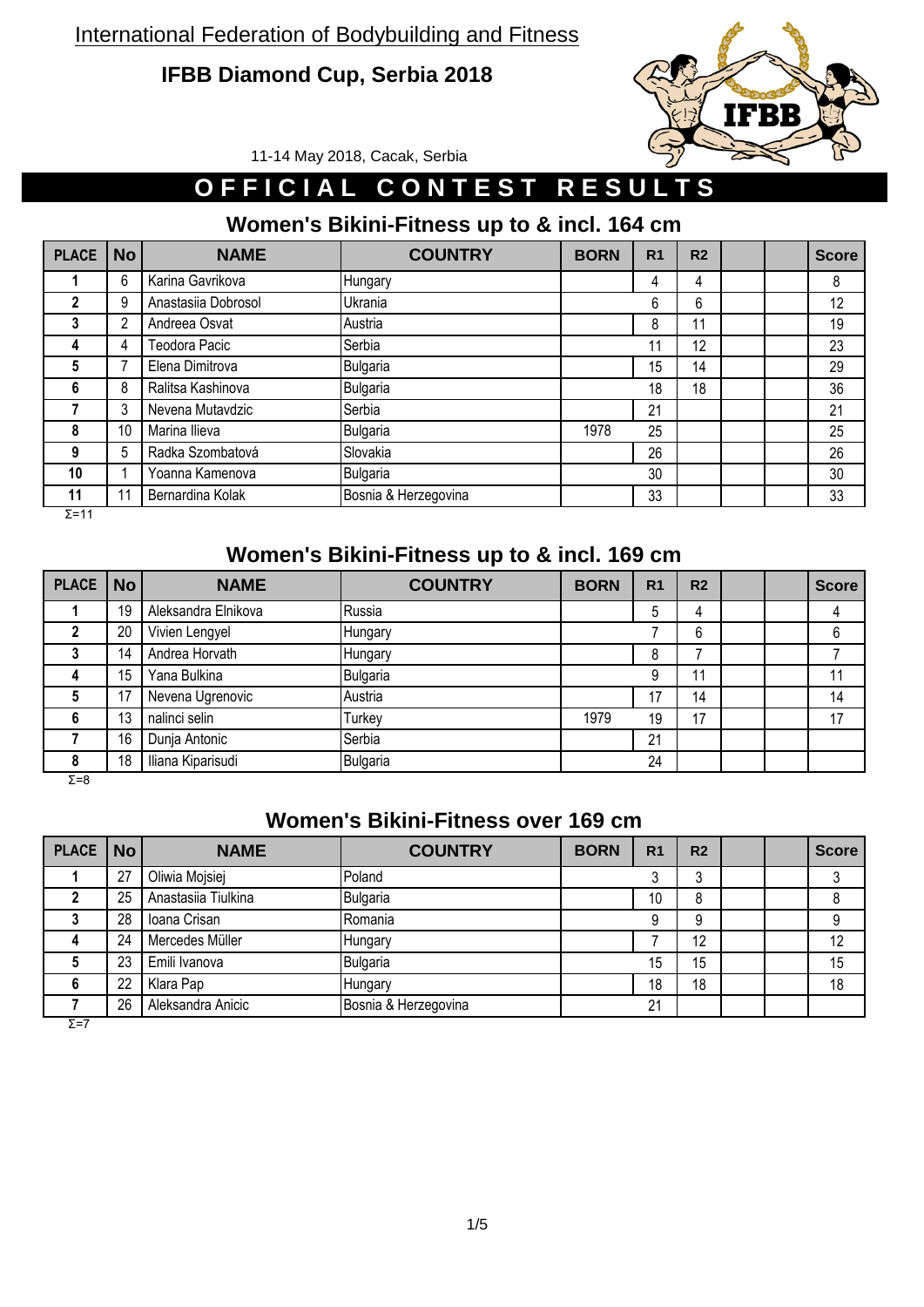#### **IFBB Diamond Cup, Serbia 2018**



11-14 May 2018, Cacak, Serbia

# **OFFICIAL CONTEST RESULTS**

#### **Women's Bikini-Fitness up to & incl. 164 cm**

| <b>PLACE</b> | <b>No</b> | <b>NAME</b>         | <b>COUNTRY</b>       | <b>BORN</b> | R <sub>1</sub> | R <sub>2</sub> |  | <b>Score</b> |
|--------------|-----------|---------------------|----------------------|-------------|----------------|----------------|--|--------------|
|              | 6         | Karina Gavrikova    | Hungary              |             | 4              | 4              |  | 8            |
| $\mathbf 2$  | 9         | Anastasiia Dobrosol | Ukrania              |             | 6              | 6              |  | 12           |
| 3            | 2         | Andreea Osvat       | Austria              |             | 8              | 11             |  | 19           |
| 4            | 4         | Teodora Pacic       | Serbia               |             | 11             | 12             |  | 23           |
| 5            | ⇁         | Elena Dimitrova     | Bulgaria             |             | 15             | 14             |  | 29           |
| 6            | 8         | Ralitsa Kashinova   | <b>Bulgaria</b>      |             | 18             | 18             |  | 36           |
|              | 3         | Nevena Mutavdzic    | Serbia               |             | 21             |                |  | 21           |
| 8            | 10        | Marina Ilieva       | Bulgaria             | 1978        | 25             |                |  | 25           |
| 9            | 5         | Radka Szombatová    | Slovakia             |             | 26             |                |  | 26           |
| 10           |           | Yoanna Kamenova     | Bulgaria             |             | 30             |                |  | 30           |
| 11           | 11        | Bernardina Kolak    | Bosnia & Herzegovina |             | 33             |                |  | 33           |

Σ=11

#### **Women's Bikini-Fitness up to & incl. 169 cm**

| <b>PLACE</b> | <b>No</b> | <b>NAME</b>         | <b>COUNTRY</b>  | <b>BORN</b> | R <sub>1</sub> | R <sub>2</sub> |  | <b>Score</b> |
|--------------|-----------|---------------------|-----------------|-------------|----------------|----------------|--|--------------|
|              | 19        | Aleksandra Elnikova | Russia          |             | 5              | 4              |  |              |
|              | 20        | Vivien Lengyel      | Hungary         |             |                | 6              |  | 6            |
|              | 14        | Andrea Horvath      | Hungary         |             | 8              |                |  |              |
| Δ            | 15        | Yana Bulkina        | Bulgaria        |             | 9              | 11             |  | 11           |
| 5            | 17        | Nevena Ugrenovic    | Austria         |             | 17             | 14             |  | 14           |
| 6            | 13        | nalinci selin       | Turkey          | 1979        | 19             | 17             |  | 17           |
|              | 16        | Dunja Antonic       | Serbia          |             | 21             |                |  |              |
| 8<br>- -     | 18        | Iliana Kiparisudi   | <b>Bulgaria</b> |             | 24             |                |  |              |

Σ=8

#### **Women's Bikini-Fitness over 169 cm**

| PLACE No |    | <b>NAME</b>         | <b>COUNTRY</b>       | <b>BORN</b> | R <sub>1</sub> | R <sub>2</sub> |  | <b>Score</b> |
|----------|----|---------------------|----------------------|-------------|----------------|----------------|--|--------------|
|          | 27 | Oliwia Mojsiej      | Poland               |             |                |                |  |              |
|          | 25 | Anastasiia Tiulkina | Bulgaria             |             | 10             | 8              |  |              |
|          | 28 | Ioana Crisan        | Romania              |             |                | 9              |  |              |
| 4        | 24 | Mercedes Müller     | Hungary              |             |                | 12             |  | 12           |
| 5        | 23 | Emili Ivanova       | Bulgaria             |             | 15             | 15             |  | 15           |
| 6        | 22 | Klara Pap           | Hungary              |             | 18             | 18             |  | 18           |
|          | 26 | Aleksandra Anicic   | Bosnia & Herzegovina |             | 21             |                |  |              |

Σ=7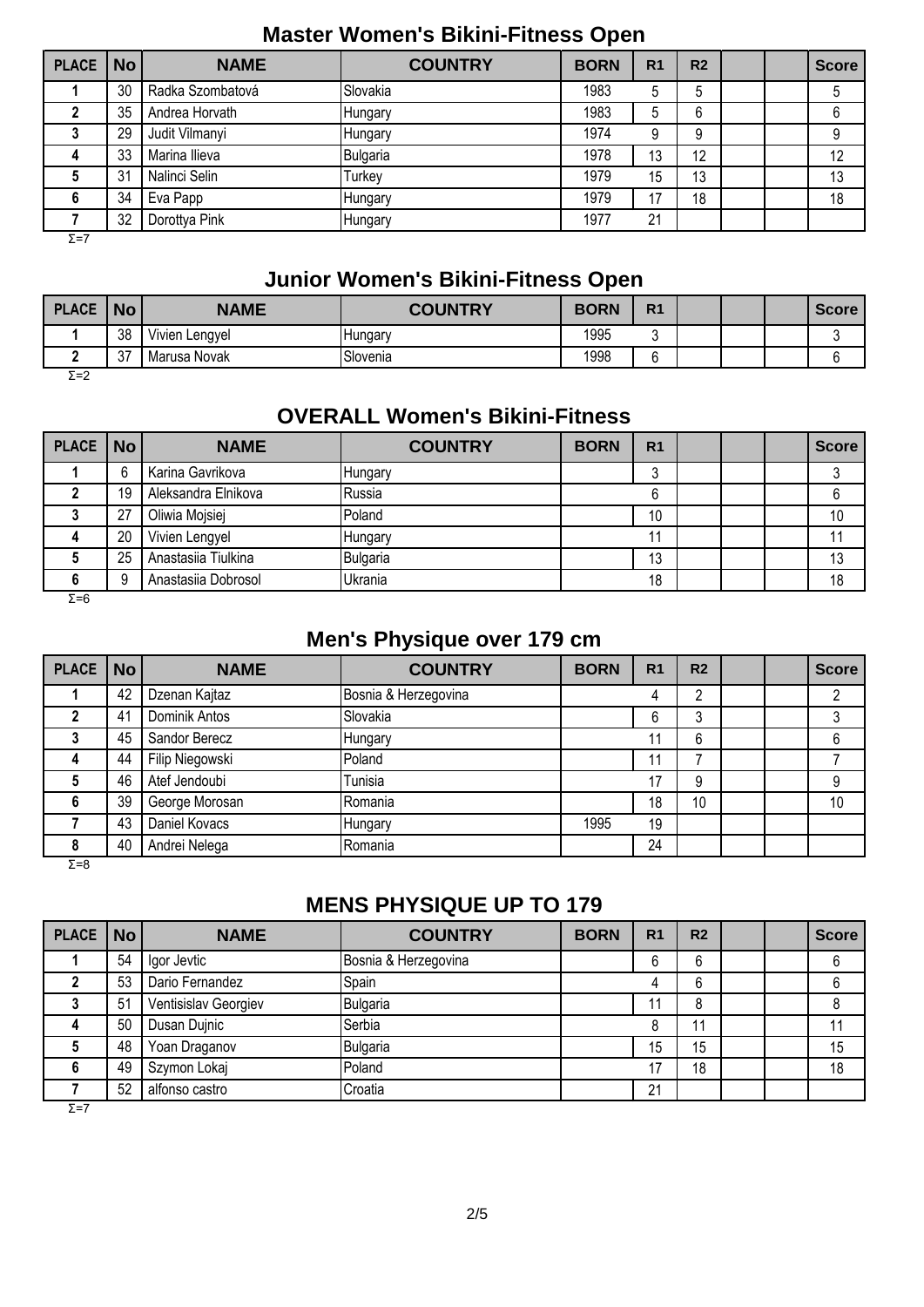# **Master Women's Bikini-Fitness Open**

| <b>PLACE</b> | <b>No</b> | <b>NAME</b>      | <b>COUNTRY</b>  | <b>BORN</b> | R <sub>1</sub> | R <sub>2</sub> |  | <b>Score</b> |
|--------------|-----------|------------------|-----------------|-------------|----------------|----------------|--|--------------|
|              | 30        | Radka Szombatová | Slovakia        | 1983        | 5              | 5              |  | 5            |
|              | 35        | Andrea Horvath   | Hungary         | 1983        | 5              | 6              |  | 6            |
|              | 29        | Judit Vilmanyi   | Hungary         | 1974        | 9              | 9              |  | 9            |
| 4            | 33        | Marina Ilieva    | <b>Bulgaria</b> | 1978        | 13             | 12             |  | 12           |
| 5            | 31        | Nalinci Selin    | Turkey          | 1979        | 15             | 13             |  | 13           |
| 6            | 34        | Eva Papp         | Hungary         | 1979        | 17             | 18             |  | 18           |
|              | 32        | Dorottya Pink    | Hungary         | 1977        | 21             |                |  |              |
| $\Sigma = 7$ |           |                  |                 |             |                |                |  |              |

#### **Junior Women's Bikini-Fitness Open**

| <b>PLACE</b> | <b>No</b> | <b>NAME</b>    | <b>COUNTRY</b> | <b>BORN</b> | R <sub>1</sub> |  | <b>Score</b> |
|--------------|-----------|----------------|----------------|-------------|----------------|--|--------------|
|              | 38        | Vivien Lengyel | <b>Hungary</b> | 1995        | ັ              |  |              |
|              | $\sim$    | Marusa Novak   | Slovenia       | 1998        |                |  |              |
| Σ=2          |           |                |                |             |                |  |              |

#### **OVERALL Women's Bikini-Fitness**

| PLACE   No |    | <b>NAME</b>         | <b>COUNTRY</b> | <b>BORN</b> | R <sub>1</sub> |  | <b>Score</b> |
|------------|----|---------------------|----------------|-------------|----------------|--|--------------|
|            | 6  | Karina Gavrikova    | Hungary        |             | J              |  |              |
|            | 19 | Aleksandra Elnikova | Russia         |             | b              |  |              |
|            | 27 | Oliwia Mojsiej      | Poland         |             | 10             |  | 10           |
|            | 20 | Vivien Lengyel      | <b>Hungary</b> |             | 11             |  | 11           |
|            | 25 | Anastasiia Tiulkina | Bulgaria       |             | 13             |  | 13           |
|            |    | Anastasiia Dobrosol | Ukrania        |             | 18             |  | 18           |

Σ=6

#### **Men's Physique over 179 cm**

| <b>PLACE</b> | <b>No</b> | <b>NAME</b>     | <b>COUNTRY</b>       | <b>BORN</b> | R <sub>1</sub> | R <sub>2</sub> |  | <b>Score</b> |
|--------------|-----------|-----------------|----------------------|-------------|----------------|----------------|--|--------------|
|              | 42        | Dzenan Kajtaz   | Bosnia & Herzegovina |             | 4              | ∩              |  | ŋ            |
|              | 41        | Dominik Antos   | Slovakia             |             | 6              | າ<br>a         |  |              |
|              | 45        | Sandor Berecz   | <b>Hungary</b>       |             | 11             | 6              |  | 6            |
|              | 44        | Filip Niegowski | Poland               |             |                |                |  |              |
| 5            | 46        | Atef Jendoubi   | Tunisia              |             | 17             | 9              |  | 9            |
| 6            | 39        | George Morosan  | Romania              |             | 18             | 10             |  | 10           |
|              | 43        | Daniel Kovacs   | Hungary              | 1995        | 19             |                |  |              |
| 8            | 40        | Andrei Nelega   | Romania              |             | 24             |                |  |              |
| $\Sigma = 8$ |           |                 |                      |             |                |                |  |              |

#### **MENS PHYSIQUE UP TO 179**

| <b>PLACE</b> | <b>No</b> | <b>NAME</b>          | <b>COUNTRY</b>       | <b>BORN</b> | R <sub>1</sub> | R <sub>2</sub> |  | <b>Score</b> |
|--------------|-----------|----------------------|----------------------|-------------|----------------|----------------|--|--------------|
|              | 54        | Igor Jevtic          | Bosnia & Herzegovina |             | 6              | 6              |  | 6            |
|              | 53        | Dario Fernandez      | Spain                |             | 4              | 6              |  |              |
|              | 51        | Ventisislav Georgiev | Bulgaria             |             |                | 8              |  |              |
|              | 50        | Dusan Dujnic         | Serbia               |             | 8              | 11             |  |              |
| 5            | 48        | Yoan Draganov        | Bulgaria             |             | 15             | 15             |  | 15           |
| 6            | 49        | Szymon Lokaj         | Poland               |             | 17             | 18             |  | 18           |
|              | 52        | alfonso castro       | Croatia              |             | 21             |                |  |              |
| $\Sigma = 7$ |           |                      |                      |             |                |                |  |              |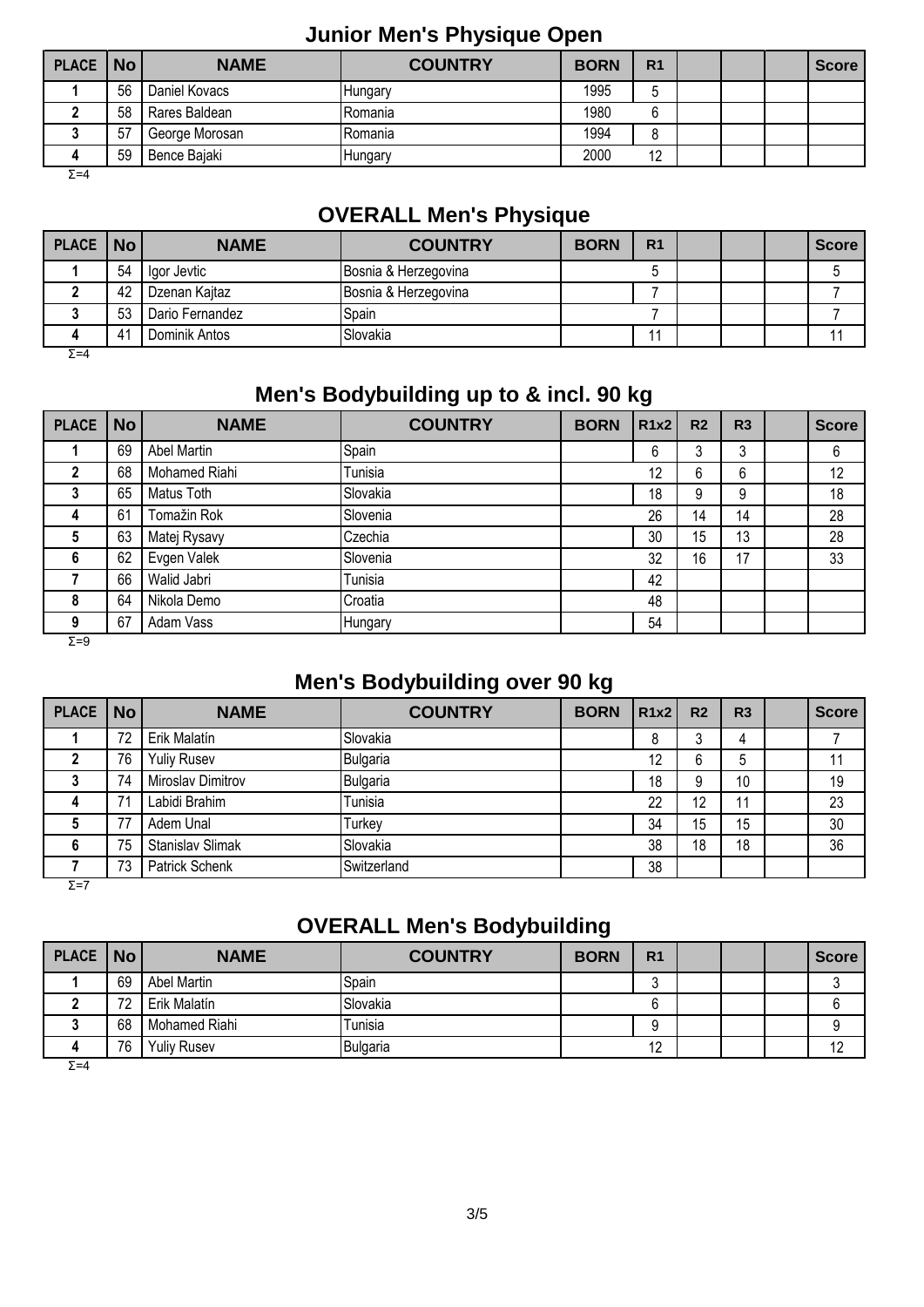# **Junior Men's Physique Open**

| <b>PLACE</b> | <b>No</b> | <b>NAME</b>    | <b>COUNTRY</b>   | <b>BORN</b> | R <sub>1</sub> |  | <b>Score</b> |
|--------------|-----------|----------------|------------------|-------------|----------------|--|--------------|
|              | 56        | Daniel Kovacs  | <b>Hungary</b>   | 1995        | ა              |  |              |
|              | 58        | Rares Baldean  | <b>I</b> Romania | 1980        | 6              |  |              |
|              | 57        | George Morosan | Romania          | 1994        | о              |  |              |
|              | 59        | Bence Bajaki   | <b>Hungary</b>   | 2000        | 12             |  |              |

Σ=4

# **OVERALL Men's Physique**

| PLACE No |             | <b>NAME</b>     | <b>COUNTRY</b>       | <b>BORN</b> | R <sub>1</sub>  |  | <b>Score</b> |
|----------|-------------|-----------------|----------------------|-------------|-----------------|--|--------------|
|          | 54          | Igor Jevtic     | Bosnia & Herzegovina |             |                 |  |              |
|          | 42          | Dzenan Kajtaz   | Bosnia & Herzegovina |             |                 |  |              |
|          | 53          | Dario Fernandez | Spain                |             |                 |  |              |
|          | $\Lambda$ 1 | Dominik Antos   | Slovakia             |             | $\overline{44}$ |  |              |

 $\overline{5}=4$ 

# **Men's Bodybuilding up to & incl. 90 kg**

| <b>PLACE</b> | <b>No</b> | <b>NAME</b>   | <b>COUNTRY</b> | <b>BORN</b> | R1x2 | R <sub>2</sub> | R <sub>3</sub> | <b>Score</b> |
|--------------|-----------|---------------|----------------|-------------|------|----------------|----------------|--------------|
|              | 69        | Abel Martin   | Spain          |             | 6    | ኅ<br>J         | 3              | 6            |
|              | 68        | Mohamed Riahi | Tunisia        |             | 12   | 6              | 6              | 12           |
| 3            | 65        | Matus Toth    | Slovakia       |             | 18   | 9              | 9              | 18           |
| 4            | 61        | Tomažin Rok   | Slovenia       |             | 26   | 14             | 14             | 28           |
| 5            | 63        | Matej Rysavy  | Czechia        |             | 30   | 15             | 13             | 28           |
| 6            | 62        | Evgen Valek   | Slovenia       |             | 32   | 16             | 17             | 33           |
|              | 66        | Walid Jabri   | Tunisia        |             | 42   |                |                |              |
| 8            | 64        | Nikola Demo   | Croatia        |             | 48   |                |                |              |
| 9<br>- -     | 67        | Adam Vass     | Hungary        |             | 54   |                |                |              |

#### Σ=9

# **Men's Bodybuilding over 90 kg**

| PLACE   No |    | <b>NAME</b>        | <b>COUNTRY</b> | <b>BORN</b> | <b>R1x2</b> | R <sub>2</sub> | R <sub>3</sub> | <b>Score</b> |
|------------|----|--------------------|----------------|-------------|-------------|----------------|----------------|--------------|
|            | 72 | Erik Malatín       | Slovakia       |             | 8           | ◠              | 4              |              |
|            | 76 | <b>Yuliy Rusev</b> | Bulgaria       |             | 12          | 6              | 5              |              |
| 3          | 74 | Miroslav Dimitrov  | Bulgaria       |             | 18          | 9              | 10             | 19           |
| 4          | 71 | Labidi Brahim      | Tunisia        |             | 22          | 12             | 11             | 23           |
| 5          | 77 | Adem Unal          | <b>Turkey</b>  |             | 34          | 15             | 15             | 30           |
| 6          | 75 | Stanislav Slimak   | Slovakia       |             | 38          | 18             | 18             | 36           |
|            | 73 | Patrick Schenk     | Switzerland    |             | 38          |                |                |              |

Σ=7

# **OVERALL Men's Bodybuilding**

| <b>PLACE</b> | <b>No</b> | <b>NAME</b>        | <b>COUNTRY</b>  | <b>BORN</b> | R <sub>1</sub> |  | <b>Score</b> |
|--------------|-----------|--------------------|-----------------|-------------|----------------|--|--------------|
|              | 69        | Abel Martin        | Spain           |             | u              |  |              |
|              | 72        | Erik Malatín       | Slovakia        |             |                |  |              |
|              | 68        | Mohamed Riahi      | Tunisia         |             |                |  |              |
|              | 76        | <b>Yuliy Rusev</b> | <b>Bulgaria</b> |             | 12             |  | 12           |

Σ=4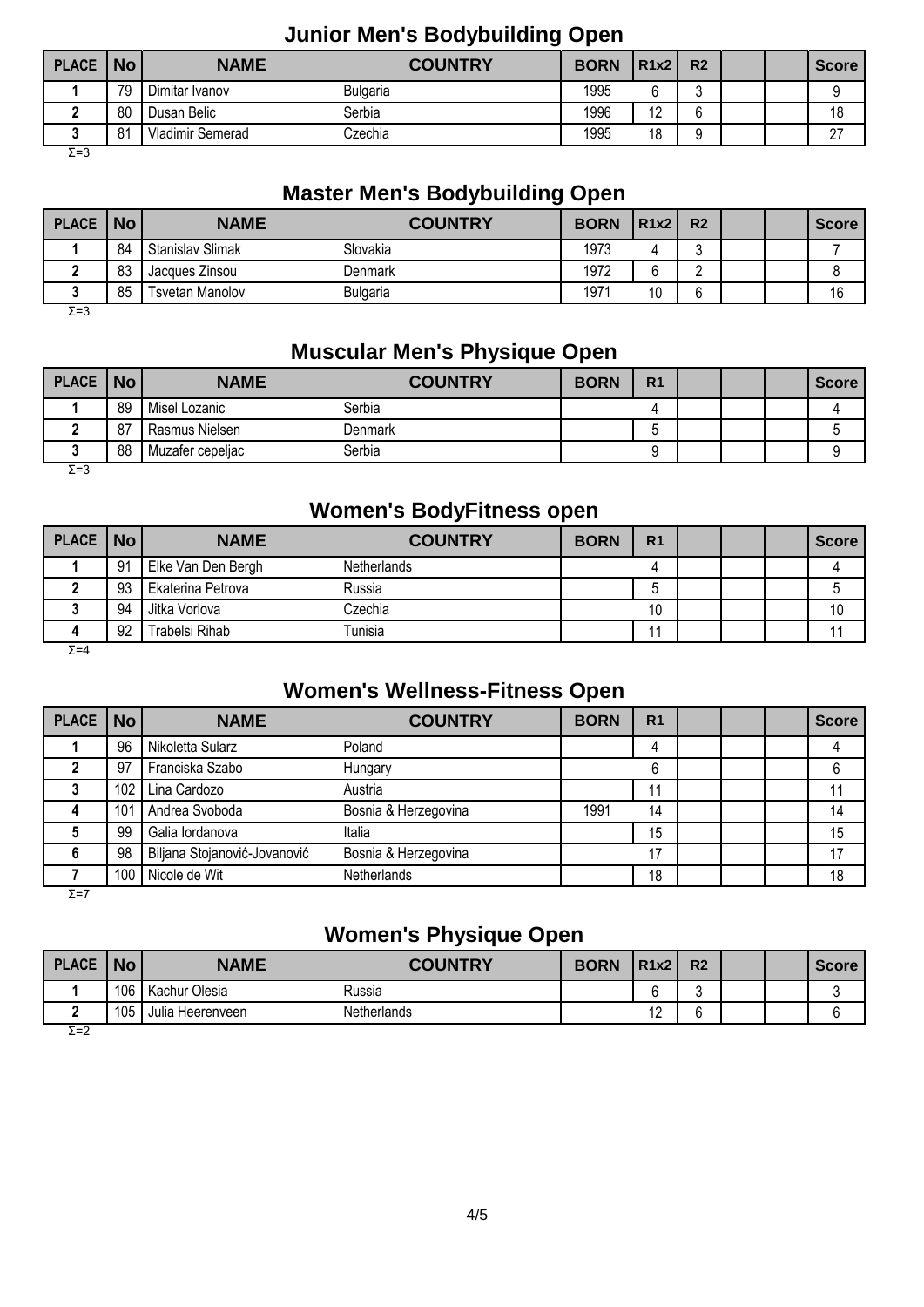# **Junior Men's Bodybuilding Open**

| <b>PLACE</b> | <b>No</b> | <b>NAME</b>      | <b>COUNTRY</b> | <b>BORN</b> | R1x2 | R <sub>2</sub> |  | <b>Score</b> |
|--------------|-----------|------------------|----------------|-------------|------|----------------|--|--------------|
|              | 79        | Dimitar Ivanov   | Bulgaria       | 1995        | u    | ັ              |  |              |
|              | 80        | Dusan Belic      | Serbia         | 1996        | 12   |                |  | 18           |
|              | 81        | Vladimir Semerad | Czechia        | 1995        | 18   |                |  | 27           |
| $\Sigma = 3$ |           |                  |                |             |      |                |  |              |

#### **Master Men's Bodybuilding Open**

| <b>PLACE</b> | <b>No</b> | <b>NAME</b>      | <b>COUNTRY</b> | <b>BORN</b> | <b>R1x2</b> | R <sub>2</sub> |  | <b>Score</b> |
|--------------|-----------|------------------|----------------|-------------|-------------|----------------|--|--------------|
|              | 84        | Stanislav Slimak | Slovakia       | 1973        |             |                |  |              |
|              | 83        | Jacques Zinsou   | Denmark        | 1972        |             |                |  |              |
|              | 95<br>υυ  | Tsvetan Manolov  | Bulgaria       | 1971        | 10          |                |  | 16           |
| $ -$         |           |                  |                |             |             |                |  |              |

Σ=3

#### **Muscular Men's Physique Open**

| 89<br>Misel Lozanic<br>'Serbia<br>87<br>Rasmus Nielsen<br>Denmark<br>ັ | <b>PLACE</b> | <b>No</b> | <b>NAME</b> | <b>COUNTRY</b> | <b>BORN</b> | R <sub>1</sub> |  | <b>Score</b> |
|------------------------------------------------------------------------|--------------|-----------|-------------|----------------|-------------|----------------|--|--------------|
|                                                                        |              |           |             |                |             |                |  |              |
|                                                                        |              |           |             |                |             |                |  |              |
| 88<br>Serbia<br>Muzafer cepeljac                                       |              |           |             |                |             |                |  |              |

Σ=3

# **Women's BodyFitness open**

| <b>PLACE</b> | <b>No</b> | <b>NAME</b>        | <b>COUNTRY</b>      | <b>BORN</b> | R <sub>1</sub> |  | <b>Score</b> |
|--------------|-----------|--------------------|---------------------|-------------|----------------|--|--------------|
|              | 91        | Elke Van Den Bergh | <b>INetherlands</b> |             |                |  |              |
|              | 93        | Ekaterina Petrova  | <b>I</b> Russia     |             | ა              |  |              |
|              | 94        | Jitka Vorlova      | Czechia             |             | 10             |  | 10           |
|              | 92        | Trabelsi Rihab     | Tunisia             |             | 44             |  |              |
| $\Sigma = 4$ |           |                    |                     |             |                |  |              |

#### **Women's Wellness-Fitness Open**

| <b>PLACE</b> | <b>No</b> | <b>NAME</b>                  | <b>COUNTRY</b>       | <b>BORN</b> | R <sub>1</sub> |  | <b>Score</b> |
|--------------|-----------|------------------------------|----------------------|-------------|----------------|--|--------------|
|              | 96        | Nikoletta Sularz             | Poland               |             | 4              |  |              |
|              | 97        | Franciska Szabo              | Hungary              |             | 6              |  |              |
|              | 102       | Lina Cardozo                 | Austria              |             | 11             |  | 11           |
| 4            | 101       | Andrea Svoboda               | Bosnia & Herzegovina | 1991        | 14             |  | 14           |
|              | 99        | Galia lordanova              | Italia               |             | 15             |  | 15           |
| 6            | 98        | Biljana Stojanović-Jovanović | Bosnia & Herzegovina |             | 17             |  | 17           |
|              | 100       | Nicole de Wit                | Netherlands          |             | 18             |  | 18           |
| $\Sigma = 7$ |           |                              |                      |             |                |  |              |

# **Women's Physique Open**

| <b>PLACE</b> | <b>No</b> | <b>NAME</b>      | <b>COUNTRY</b>      | <b>BORN</b> | <b>R1x2</b>       | R <sub>2</sub> |  | <b>Score</b> |
|--------------|-----------|------------------|---------------------|-------------|-------------------|----------------|--|--------------|
|              | 106       | Kachur Olesia    | Russia              |             |                   | ີ              |  |              |
|              | 105       | Julia Heerenveen | <b>INetherlands</b> |             | $\sqrt{2}$<br>' - |                |  |              |
| $ \sim$      |           |                  |                     |             |                   |                |  |              |

Σ=2